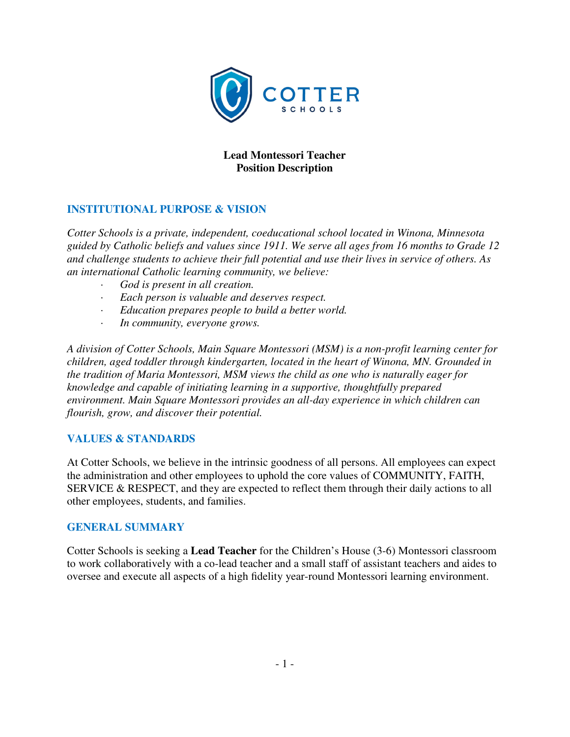

### **Lead Montessori Teacher Position Description**

### **INSTITUTIONAL PURPOSE & VISION**

*Cotter Schools is a private, independent, coeducational school located in Winona, Minnesota guided by Catholic beliefs and values since 1911. We serve all ages from 16 months to Grade 12 and challenge students to achieve their full potential and use their lives in service of others. As an international Catholic learning community, we believe:* 

- *· God is present in all creation.*
- *· Each person is valuable and deserves respect.*
- *· Education prepares people to build a better world.*
- *· In community, everyone grows.*

*A division of Cotter Schools, Main Square Montessori (MSM) is a non-profit learning center for children, aged toddler through kindergarten, located in the heart of Winona, MN. Grounded in the tradition of Maria Montessori, MSM views the child as one who is naturally eager for knowledge and capable of initiating learning in a supportive, thoughtfully prepared environment. Main Square Montessori provides an all-day experience in which children can flourish, grow, and discover their potential.* 

### **VALUES & STANDARDS**

At Cotter Schools, we believe in the intrinsic goodness of all persons. All employees can expect the administration and other employees to uphold the core values of COMMUNITY, FAITH, SERVICE & RESPECT, and they are expected to reflect them through their daily actions to all other employees, students, and families.

#### **GENERAL SUMMARY**

Cotter Schools is seeking a **Lead Teacher** for the Children's House (3-6) Montessori classroom to work collaboratively with a co-lead teacher and a small staff of assistant teachers and aides to oversee and execute all aspects of a high fidelity year-round Montessori learning environment.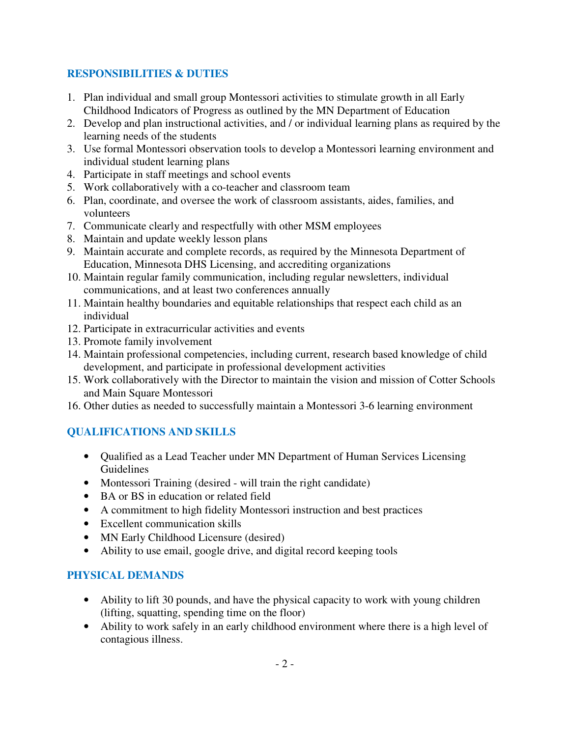### **RESPONSIBILITIES & DUTIES**

- 1. Plan individual and small group Montessori activities to stimulate growth in all Early Childhood Indicators of Progress as outlined by the MN Department of Education
- 2. Develop and plan instructional activities, and / or individual learning plans as required by the learning needs of the students
- 3. Use formal Montessori observation tools to develop a Montessori learning environment and individual student learning plans
- 4. Participate in staff meetings and school events
- 5. Work collaboratively with a co-teacher and classroom team
- 6. Plan, coordinate, and oversee the work of classroom assistants, aides, families, and volunteers
- 7. Communicate clearly and respectfully with other MSM employees
- 8. Maintain and update weekly lesson plans
- 9. Maintain accurate and complete records, as required by the Minnesota Department of Education, Minnesota DHS Licensing, and accrediting organizations
- 10. Maintain regular family communication, including regular newsletters, individual communications, and at least two conferences annually
- 11. Maintain healthy boundaries and equitable relationships that respect each child as an individual
- 12. Participate in extracurricular activities and events
- 13. Promote family involvement
- 14. Maintain professional competencies, including current, research based knowledge of child development, and participate in professional development activities
- 15. Work collaboratively with the Director to maintain the vision and mission of Cotter Schools and Main Square Montessori
- 16. Other duties as needed to successfully maintain a Montessori 3-6 learning environment

# **QUALIFICATIONS AND SKILLS**

- Qualified as a Lead Teacher under MN Department of Human Services Licensing Guidelines
- Montessori Training (desired will train the right candidate)
- BA or BS in education or related field
- A commitment to high fidelity Montessori instruction and best practices
- Excellent communication skills
- MN Early Childhood Licensure (desired)
- Ability to use email, google drive, and digital record keeping tools

## **PHYSICAL DEMANDS**

- Ability to lift 30 pounds, and have the physical capacity to work with young children (lifting, squatting, spending time on the floor)
- Ability to work safely in an early childhood environment where there is a high level of contagious illness.